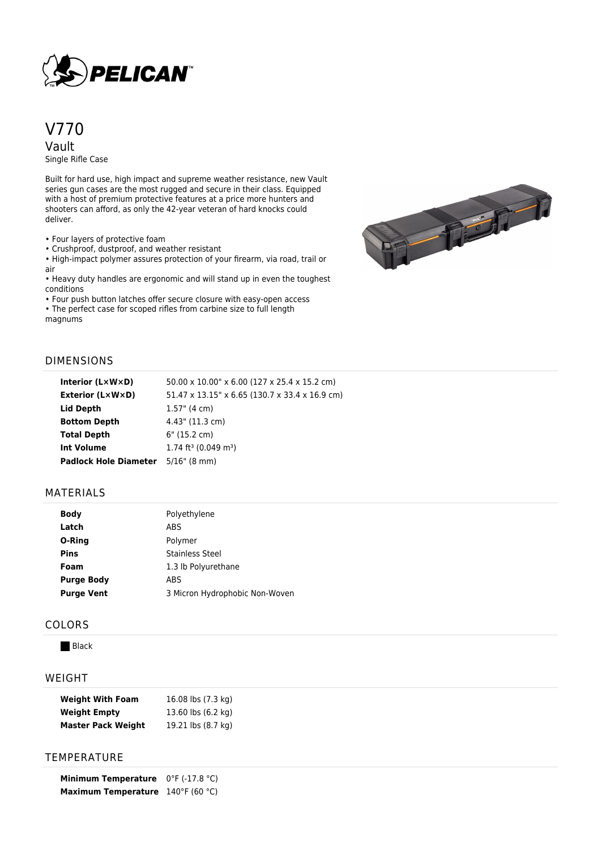

# V770 Vault

Single Rifle Case

Built for hard use, high impact and supreme weather resistance, new Vault series gun cases are the most rugged and secure in their class. Equipped with a host of premium protective features at a price more hunters and shooters can afford, as only the 42-year veteran of hard knocks could deliver.

• Four layers of protective foam

• Crushproof, dustproof, and weather resistant

• High-impact polymer assures protection of your firearm, via road, trail or air • Heavy duty handles are ergonomic and will stand up in even the toughest

conditions

• Four push button latches offer secure closure with easy-open access

• The perfect case for scoped rifles from carbine size to full length magnums



## DIMENSIONS

| Interior $(L \times W \times D)$ | 50.00 x 10.00" x 6.00 (127 x 25.4 x 15.2 cm)   |
|----------------------------------|------------------------------------------------|
| <b>Exterior (L×W×D)</b>          | 51.47 x 13.15" x 6.65 (130.7 x 33.4 x 16.9 cm) |
| Lid Depth                        | $1.57$ " (4 cm)                                |
| <b>Bottom Depth</b>              | 4.43" (11.3 cm)                                |
| <b>Total Depth</b>               | 6" (15.2 cm)                                   |
| <b>Int Volume</b>                | $1.74$ ft <sup>3</sup> (0.049 m <sup>3</sup> ) |
| <b>Padlock Hole Diameter</b>     | $5/16$ " (8 mm)                                |
|                                  |                                                |

#### MATERIALS

| <b>Body</b>       | Polyethylene                   |
|-------------------|--------------------------------|
| Latch             | ABS                            |
| O-Ring            | Polymer                        |
| <b>Pins</b>       | Stainless Steel                |
| Foam              | 1.3 lb Polyurethane            |
| <b>Purge Body</b> | ABS                            |
| <b>Purge Vent</b> | 3 Micron Hydrophobic Non-Woven |

#### COLORS

**Black** 

#### WEIGHT

| <b>Weight With Foam</b>   | 16.08 lbs (7.3 kg) |
|---------------------------|--------------------|
| <b>Weight Empty</b>       | 13.60 lbs (6.2 kg) |
| <b>Master Pack Weight</b> | 19.21 lbs (8.7 kg) |

### **TEMPERATURE**

**Minimum Temperature** 0°F (-17.8 °C) **Maximum Temperature** 140°F (60 °C)